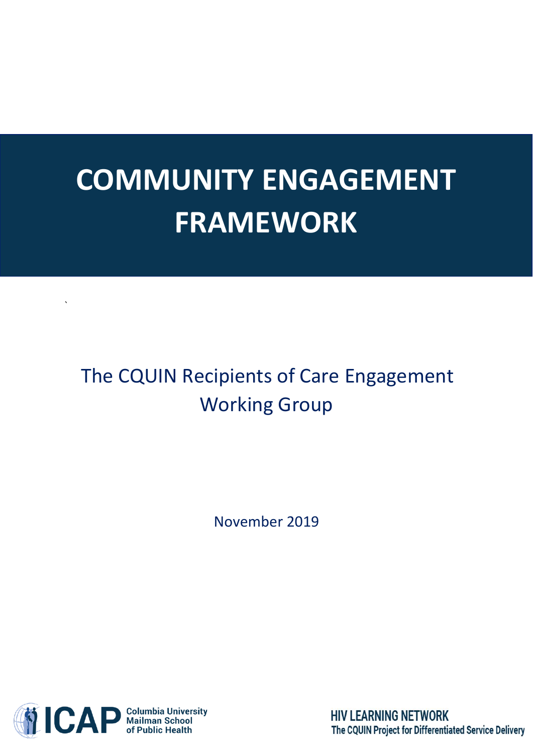# **COMMUNITY ENGAGEMENT FRAMEWORK**

# The CQUIN Recipients of Care Engagement Working Group

November 2019



`

**HIV LEARNING NETWORK** The CQUIN Project for Differentiated Service Delivery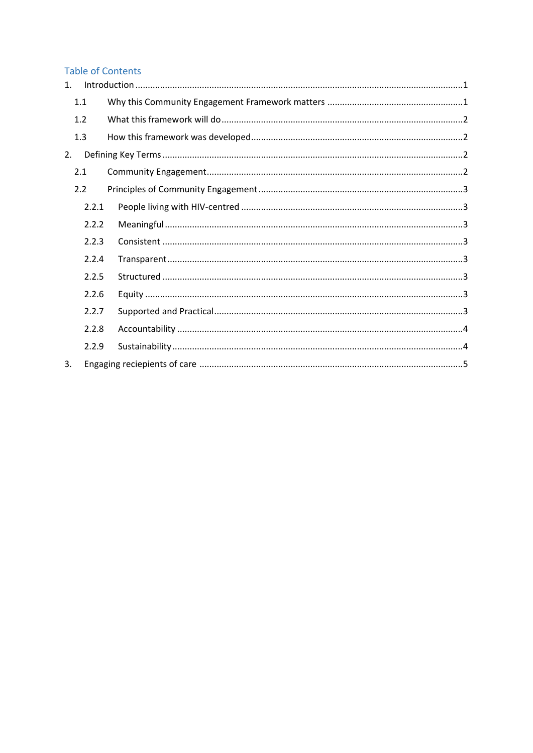# Table of Contents

| $\mathbf{1}$ . |       |  |
|----------------|-------|--|
|                | 1.1   |  |
|                | 1.2   |  |
|                | 1.3   |  |
| 2.             |       |  |
|                | 2.1   |  |
|                | 2.2   |  |
|                | 2.2.1 |  |
|                | 2.2.2 |  |
|                | 2.2.3 |  |
|                | 2.2.4 |  |
|                | 2.2.5 |  |
|                | 2.2.6 |  |
|                | 2.2.7 |  |
|                | 2.2.8 |  |
|                | 2.2.9 |  |
| 3.             |       |  |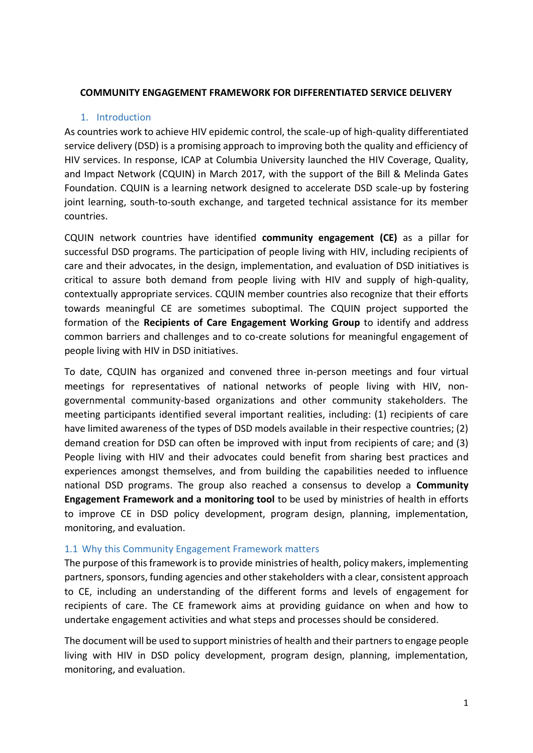#### **COMMUNITY ENGAGEMENT FRAMEWORK FOR DIFFERENTIATED SERVICE DELIVERY**

#### 1. Introduction

<span id="page-2-0"></span>As countries work to achieve HIV epidemic control, the scale-up of high-quality differentiated service delivery (DSD) is a promising approach to improving both the quality and efficiency of HIV services. In response, ICAP at Columbia University launched the HIV Coverage, Quality, and Impact Network (CQUIN) in March 2017, with the support of the Bill & Melinda Gates Foundation. CQUIN is a learning network designed to accelerate DSD scale-up by fostering joint learning, south-to-south exchange, and targeted technical assistance for its member countries.

CQUIN network countries have identified **community engagement (CE)** as a pillar for successful DSD programs. The participation of people living with HIV, including recipients of care and their advocates, in the design, implementation, and evaluation of DSD initiatives is critical to assure both demand from people living with HIV and supply of high-quality, contextually appropriate services. CQUIN member countries also recognize that their efforts towards meaningful CE are sometimes suboptimal. The CQUIN project supported the formation of the **Recipients of Care Engagement Working Group** to identify and address common barriers and challenges and to co-create solutions for meaningful engagement of people living with HIV in DSD initiatives.

To date, CQUIN has organized and convened three in-person meetings and four virtual meetings for representatives of national networks of people living with HIV, nongovernmental community-based organizations and other community stakeholders. The meeting participants identified several important realities, including: (1) recipients of care have limited awareness of the types of DSD models available in their respective countries; (2) demand creation for DSD can often be improved with input from recipients of care; and (3) People living with HIV and their advocates could benefit from sharing best practices and experiences amongst themselves, and from building the capabilities needed to influence national DSD programs. The group also reached a consensus to develop a **Community Engagement Framework and a monitoring tool** to be used by ministries of health in efforts to improve CE in DSD policy development, program design, planning, implementation, monitoring, and evaluation.

#### <span id="page-2-1"></span>1.1 Why this Community Engagement Framework matters

The purpose of this framework is to provide ministries of health, policy makers, implementing partners, sponsors, funding agencies and other stakeholders with a clear, consistent approach to CE, including an understanding of the different forms and levels of engagement for recipients of care. The CE framework aims at providing guidance on when and how to undertake engagement activities and what steps and processes should be considered.

The document will be used to support ministries of health and their partners to engage people living with HIV in DSD policy development, program design, planning, implementation, monitoring, and evaluation.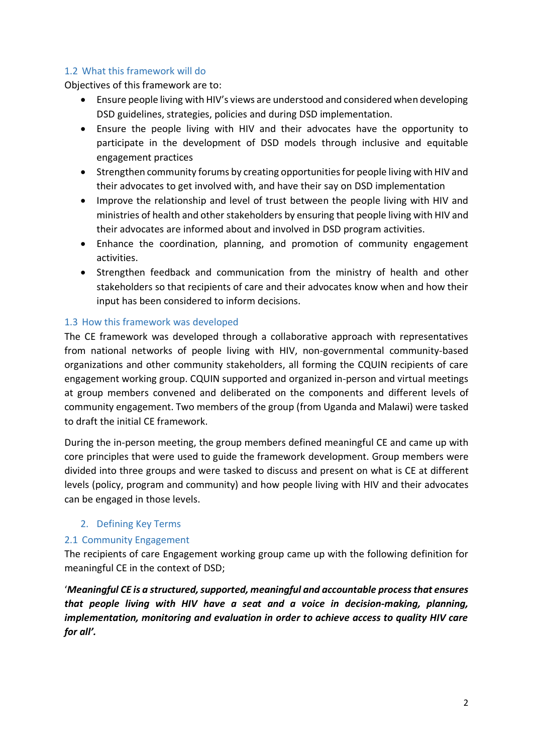#### <span id="page-3-0"></span>1.2 What this framework will do

Objectives of this framework are to:

- Ensure people living with HIV's views are understood and considered when developing DSD guidelines, strategies, policies and during DSD implementation.
- Ensure the people living with HIV and their advocates have the opportunity to participate in the development of DSD models through inclusive and equitable engagement practices
- Strengthen community forums by creating opportunities for people living with HIV and their advocates to get involved with, and have their say on DSD implementation
- Improve the relationship and level of trust between the people living with HIV and ministries of health and other stakeholders by ensuring that people living with HIV and their advocates are informed about and involved in DSD program activities.
- Enhance the coordination, planning, and promotion of community engagement activities.
- Strengthen feedback and communication from the ministry of health and other stakeholders so that recipients of care and their advocates know when and how their input has been considered to inform decisions.

#### <span id="page-3-1"></span>1.3 How this framework was developed

The CE framework was developed through a collaborative approach with representatives from national networks of people living with HIV, non-governmental community-based organizations and other community stakeholders, all forming the CQUIN recipients of care engagement working group. CQUIN supported and organized in-person and virtual meetings at group members convened and deliberated on the components and different levels of community engagement. Two members of the group (from Uganda and Malawi) were tasked to draft the initial CE framework.

During the in-person meeting, the group members defined meaningful CE and came up with core principles that were used to guide the framework development. Group members were divided into three groups and were tasked to discuss and present on what is CE at different levels (policy, program and community) and how people living with HIV and their advocates can be engaged in those levels.

### <span id="page-3-2"></span>2. Defining Key Terms

### <span id="page-3-3"></span>2.1 Community Engagement

The recipients of care Engagement working group came up with the following definition for meaningful CE in the context of DSD;

'*Meaningful CE is a structured, supported, meaningful and accountable process that ensures that people living with HIV have a seat and a voice in decision-making, planning, implementation, monitoring and evaluation in order to achieve access to quality HIV care for all'.*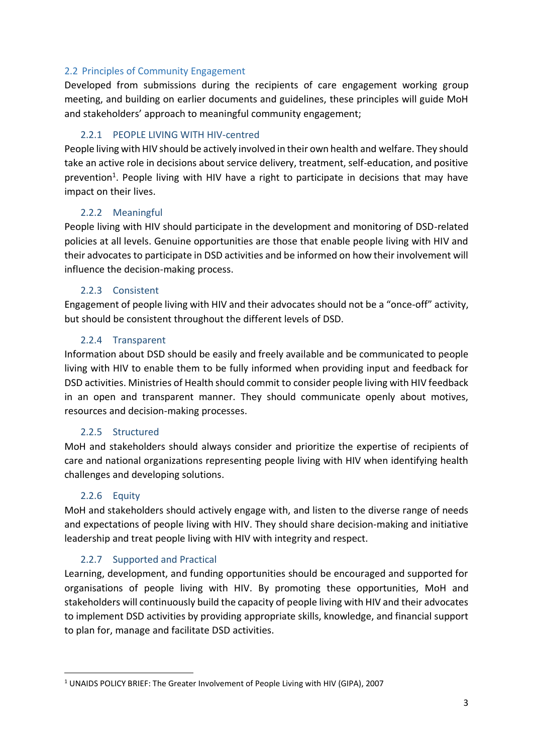#### <span id="page-4-0"></span>2.2 Principles of Community Engagement

Developed from submissions during the recipients of care engagement working group meeting, and building on earlier documents and guidelines, these principles will guide MoH and stakeholders' approach to meaningful community engagement;

#### 2.2.1 PEOPLE LIVING WITH HIV-centred

<span id="page-4-1"></span>People living with HIV should be actively involved in their own health and welfare. They should take an active role in decisions about service delivery, treatment, self-education, and positive prevention<sup>1</sup>. People living with HIV have a right to participate in decisions that may have impact on their lives.

#### 2.2.2 Meaningful

<span id="page-4-2"></span>People living with HIV should participate in the development and monitoring of DSD-related policies at all levels. Genuine opportunities are those that enable people living with HIV and their advocates to participate in DSD activities and be informed on how their involvement will influence the decision-making process.

#### 2.2.3 Consistent

<span id="page-4-3"></span>Engagement of people living with HIV and their advocates should not be a "once-off" activity, but should be consistent throughout the different levels of DSD.

#### 2.2.4 Transparent

<span id="page-4-4"></span>Information about DSD should be easily and freely available and be communicated to people living with HIV to enable them to be fully informed when providing input and feedback for DSD activities. Ministries of Health should commit to consider people living with HIV feedback in an open and transparent manner. They should communicate openly about motives, resources and decision-making processes.

### 2.2.5 Structured

<span id="page-4-5"></span>MoH and stakeholders should always consider and prioritize the expertise of recipients of care and national organizations representing people living with HIV when identifying health challenges and developing solutions.

### 2.2.6 Equity

<span id="page-4-6"></span>MoH and stakeholders should actively engage with, and listen to the diverse range of needs and expectations of people living with HIV. They should share decision-making and initiative leadership and treat people living with HIV with integrity and respect.

### 2.2.7 Supported and Practical

<span id="page-4-7"></span>Learning, development, and funding opportunities should be encouraged and supported for organisations of people living with HIV. By promoting these opportunities, MoH and stakeholders will continuously build the capacity of people living with HIV and their advocates to implement DSD activities by providing appropriate skills, knowledge, and financial support to plan for, manage and facilitate DSD activities.

<sup>1</sup> UNAIDS POLICY BRIEF: The Greater Involvement of People Living with HIV (GIPA), 2007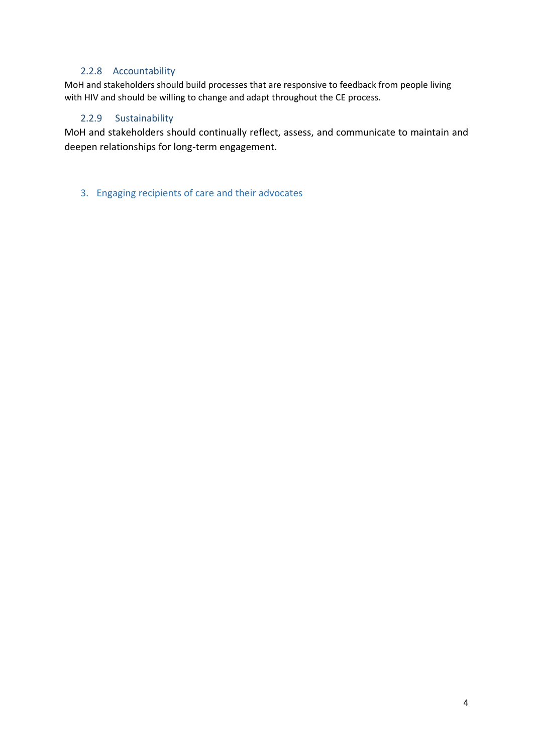#### 2.2.8 Accountability

<span id="page-5-0"></span>MoH and stakeholders should build processes that are responsive to feedback from people living with HIV and should be willing to change and adapt throughout the CE process.

#### <span id="page-5-1"></span>2.2.9 Sustainability

MoH and stakeholders should continually reflect, assess, and communicate to maintain and deepen relationships for long-term engagement.

<span id="page-5-2"></span>3. Engaging recipients of care and their advocates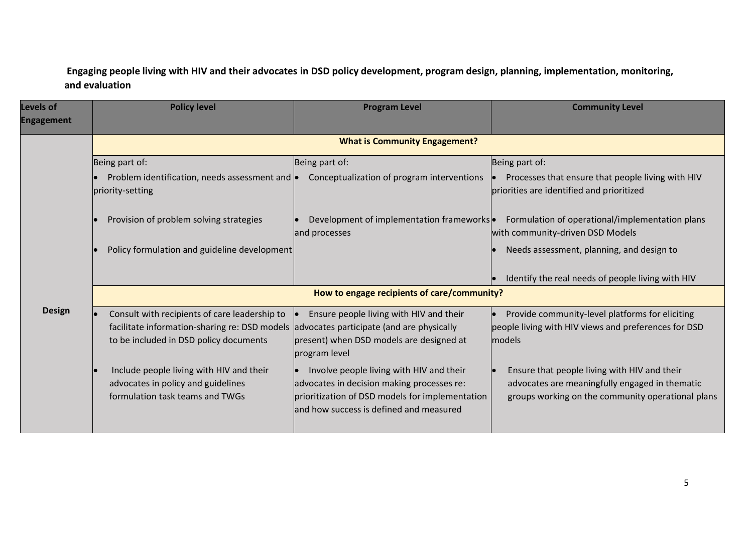# **Engaging people living with HIV and their advocates in DSD policy development, program design, planning, implementation, monitoring, and evaluation**

| <b>Levels of</b><br><b>Engagement</b> | <b>Policy level</b>                                                                                                                                                                | <b>Program Level</b>                                                                                                                                                                 | <b>Community Level</b>                                                                                                                              |  |  |
|---------------------------------------|------------------------------------------------------------------------------------------------------------------------------------------------------------------------------------|--------------------------------------------------------------------------------------------------------------------------------------------------------------------------------------|-----------------------------------------------------------------------------------------------------------------------------------------------------|--|--|
|                                       | <b>What is Community Engagement?</b>                                                                                                                                               |                                                                                                                                                                                      |                                                                                                                                                     |  |  |
|                                       | Being part of:                                                                                                                                                                     | Being part of:                                                                                                                                                                       | Being part of:                                                                                                                                      |  |  |
|                                       | Problem identification, needs assessment and $\bullet$<br>priority-setting                                                                                                         | Conceptualization of program interventions                                                                                                                                           | Processes that ensure that people living with HIV<br>priorities are identified and prioritized                                                      |  |  |
|                                       | Provision of problem solving strategies                                                                                                                                            | Development of implementation frameworks .<br>and processes                                                                                                                          | Formulation of operational/implementation plans<br>with community-driven DSD Models                                                                 |  |  |
|                                       | Policy formulation and guideline development                                                                                                                                       |                                                                                                                                                                                      | Needs assessment, planning, and design to<br>Identify the real needs of people living with HIV                                                      |  |  |
|                                       | How to engage recipients of care/community?                                                                                                                                        |                                                                                                                                                                                      |                                                                                                                                                     |  |  |
| <b>Design</b>                         | Consult with recipients of care leadership to<br>facilitate information-sharing re: DSD models advocates participate (and are physically<br>to be included in DSD policy documents | Ensure people living with HIV and their<br>present) when DSD models are designed at<br>program level                                                                                 | Provide community-level platforms for eliciting<br>people living with HIV views and preferences for DSD<br>models                                   |  |  |
|                                       | Include people living with HIV and their<br>advocates in policy and guidelines<br>formulation task teams and TWGs                                                                  | Involve people living with HIV and their<br>advocates in decision making processes re:<br>prioritization of DSD models for implementation<br>and how success is defined and measured | Ensure that people living with HIV and their<br>advocates are meaningfully engaged in thematic<br>groups working on the community operational plans |  |  |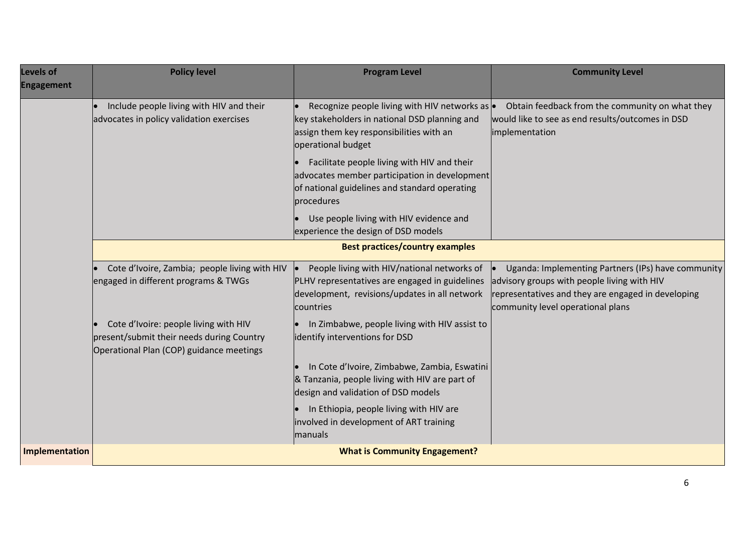| <b>Levels of</b><br><b>Engagement</b> | <b>Policy level</b>                                                                                                            | <b>Program Level</b>                                                                                                                                                      | <b>Community Level</b>                                                                                                                                                                                    |  |
|---------------------------------------|--------------------------------------------------------------------------------------------------------------------------------|---------------------------------------------------------------------------------------------------------------------------------------------------------------------------|-----------------------------------------------------------------------------------------------------------------------------------------------------------------------------------------------------------|--|
|                                       | Include people living with HIV and their<br>advocates in policy validation exercises                                           | Recognize people living with HIV networks as $\bullet$<br>key stakeholders in national DSD planning and<br>assign them key responsibilities with an<br>operational budget | Obtain feedback from the community on what they<br>would like to see as end results/outcomes in DSD<br>implementation                                                                                     |  |
|                                       |                                                                                                                                | Facilitate people living with HIV and their<br>advocates member participation in development<br>of national guidelines and standard operating<br>procedures               |                                                                                                                                                                                                           |  |
|                                       |                                                                                                                                | Use people living with HIV evidence and<br>experience the design of DSD models                                                                                            |                                                                                                                                                                                                           |  |
|                                       | <b>Best practices/country examples</b>                                                                                         |                                                                                                                                                                           |                                                                                                                                                                                                           |  |
|                                       | Cote d'Ivoire, Zambia; people living with HIV<br>engaged in different programs & TWGs                                          | People living with HIV/national networks of<br>PLHV representatives are engaged in guidelines<br>development, revisions/updates in all network<br>countries               | Uganda: Implementing Partners (IPs) have community<br>$\bullet$<br>advisory groups with people living with HIV<br>representatives and they are engaged in developing<br>community level operational plans |  |
|                                       | Cote d'Ivoire: people living with HIV<br>present/submit their needs during Country<br>Operational Plan (COP) guidance meetings | In Zimbabwe, people living with HIV assist to<br>identify interventions for DSD                                                                                           |                                                                                                                                                                                                           |  |
|                                       |                                                                                                                                | In Cote d'Ivoire, Zimbabwe, Zambia, Eswatini<br>& Tanzania, people living with HIV are part of<br>design and validation of DSD models                                     |                                                                                                                                                                                                           |  |
|                                       |                                                                                                                                | In Ethiopia, people living with HIV are<br>involved in development of ART training<br>manuals                                                                             |                                                                                                                                                                                                           |  |
| Implementation                        |                                                                                                                                | <b>What is Community Engagement?</b>                                                                                                                                      |                                                                                                                                                                                                           |  |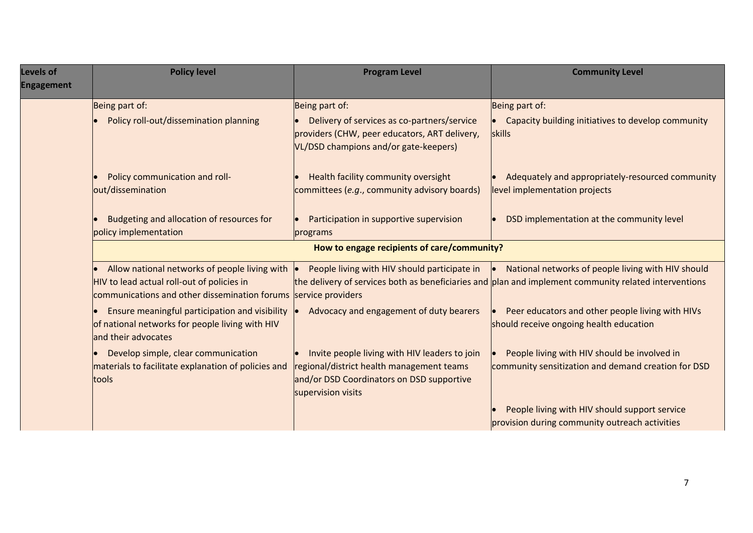| Levels of<br><b>Engagement</b> | <b>Policy level</b>                                                                                                                                            | <b>Program Level</b>                                                                                                                                          | <b>Community Level</b>                                                                                                                                                |  |  |
|--------------------------------|----------------------------------------------------------------------------------------------------------------------------------------------------------------|---------------------------------------------------------------------------------------------------------------------------------------------------------------|-----------------------------------------------------------------------------------------------------------------------------------------------------------------------|--|--|
|                                | Being part of:                                                                                                                                                 | Being part of:                                                                                                                                                | Being part of:                                                                                                                                                        |  |  |
|                                | Policy roll-out/dissemination planning                                                                                                                         | Delivery of services as co-partners/service<br>providers (CHW, peer educators, ART delivery,<br>VL/DSD champions and/or gate-keepers)                         | • Capacity building initiatives to develop community<br>skills                                                                                                        |  |  |
|                                | Policy communication and roll-<br>out/dissemination                                                                                                            | Health facility community oversight<br>committees (e.g., community advisory boards)                                                                           | Adequately and appropriately-resourced community<br>level implementation projects                                                                                     |  |  |
|                                | Budgeting and allocation of resources for<br>policy implementation                                                                                             | Participation in supportive supervision<br>programs                                                                                                           | DSD implementation at the community level                                                                                                                             |  |  |
|                                | How to engage recipients of care/community?                                                                                                                    |                                                                                                                                                               |                                                                                                                                                                       |  |  |
|                                | Allow national networks of people living with<br>HIV to lead actual roll-out of policies in<br>communications and other dissemination forums service providers | People living with HIV should participate in                                                                                                                  | $\bullet$ National networks of people living with HIV should<br>the delivery of services both as beneficiaries and plan and implement community related interventions |  |  |
|                                | Ensure meaningful participation and visibility<br>of national networks for people living with HIV<br>and their advocates                                       | Advocacy and engagement of duty bearers                                                                                                                       | Peer educators and other people living with HIVs<br>$\bullet$<br>should receive ongoing health education                                                              |  |  |
|                                | Develop simple, clear communication<br>materials to facilitate explanation of policies and<br>tools                                                            | Invite people living with HIV leaders to join<br>regional/district health management teams<br>and/or DSD Coordinators on DSD supportive<br>supervision visits | People living with HIV should be involved in<br>lo.<br>community sensitization and demand creation for DSD                                                            |  |  |
|                                |                                                                                                                                                                |                                                                                                                                                               | People living with HIV should support service<br>provision during community outreach activities                                                                       |  |  |
|                                |                                                                                                                                                                |                                                                                                                                                               |                                                                                                                                                                       |  |  |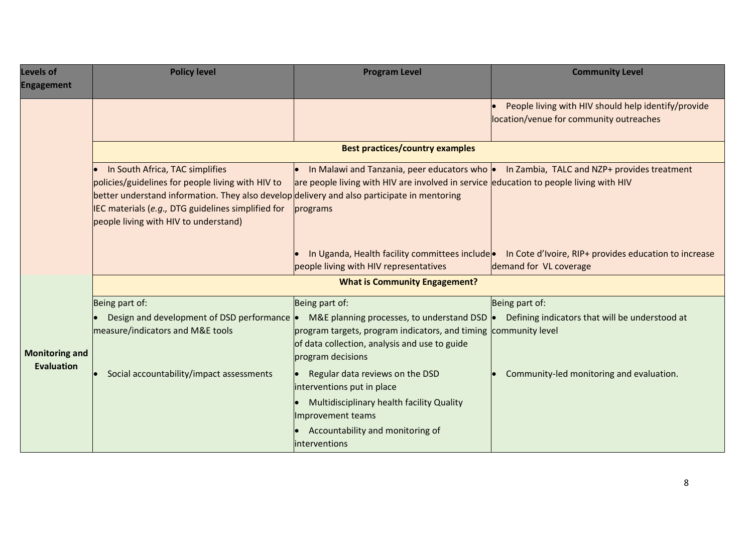| Levels of<br><b>Engagement</b> | <b>Policy level</b>                                                                                                                                                                                                                                                                | <b>Program Level</b>                                                                                                                                                                  | <b>Community Level</b>                                                                         |  |
|--------------------------------|------------------------------------------------------------------------------------------------------------------------------------------------------------------------------------------------------------------------------------------------------------------------------------|---------------------------------------------------------------------------------------------------------------------------------------------------------------------------------------|------------------------------------------------------------------------------------------------|--|
|                                |                                                                                                                                                                                                                                                                                    |                                                                                                                                                                                       | People living with HIV should help identify/provide<br>location/venue for community outreaches |  |
|                                | <b>Best practices/country examples</b>                                                                                                                                                                                                                                             |                                                                                                                                                                                       |                                                                                                |  |
|                                | In South Africa, TAC simplifies<br>policies/guidelines for people living with HIV to<br>better understand information. They also develop delivery and also participate in mentoring<br>IEC materials (e.g., DTG guidelines simplified for<br>people living with HIV to understand) | In Malawi and Tanzania, peer educators who $\bullet$<br>$\bullet$<br>are people living with HIV are involved in service education to people living with HIV<br>programs               | In Zambia, TALC and NZP+ provides treatment                                                    |  |
|                                |                                                                                                                                                                                                                                                                                    | In Uganda, Health facility committees include<br>people living with HIV representatives                                                                                               | In Cote d'Ivoire, RIP+ provides education to increase<br>demand for VL coverage                |  |
|                                | <b>What is Community Engagement?</b>                                                                                                                                                                                                                                               |                                                                                                                                                                                       |                                                                                                |  |
|                                | Being part of:                                                                                                                                                                                                                                                                     | Being part of:                                                                                                                                                                        | Being part of:                                                                                 |  |
| <b>Monitoring and</b>          | Design and development of DSD performance  .<br>measure/indicators and M&E tools                                                                                                                                                                                                   | M&E planning processes, to understand DSD  .<br>program targets, program indicators, and timing community level<br>of data collection, analysis and use to guide<br>program decisions | Defining indicators that will be understood at                                                 |  |
| <b>Evaluation</b>              | Social accountability/impact assessments                                                                                                                                                                                                                                           | Regular data reviews on the DSD<br>interventions put in place                                                                                                                         | Community-led monitoring and evaluation.                                                       |  |
|                                |                                                                                                                                                                                                                                                                                    | Multidisciplinary health facility Quality<br>Improvement teams                                                                                                                        |                                                                                                |  |
|                                |                                                                                                                                                                                                                                                                                    | Accountability and monitoring of<br>interventions                                                                                                                                     |                                                                                                |  |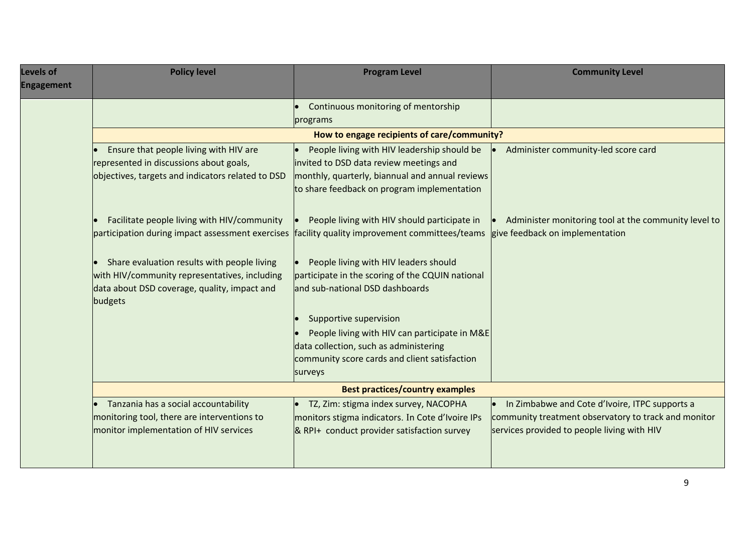| Levels of<br><b>Engagement</b> | <b>Policy level</b>                                                                                                                                     | <b>Program Level</b>                                                                                                         | <b>Community Level</b>                                                                                 |  |
|--------------------------------|---------------------------------------------------------------------------------------------------------------------------------------------------------|------------------------------------------------------------------------------------------------------------------------------|--------------------------------------------------------------------------------------------------------|--|
|                                |                                                                                                                                                         | Continuous monitoring of mentorship<br>programs                                                                              |                                                                                                        |  |
|                                | How to engage recipients of care/community?                                                                                                             |                                                                                                                              |                                                                                                        |  |
|                                | Ensure that people living with HIV are<br>represented in discussions about goals,                                                                       | People living with HIV leadership should be<br>invited to DSD data review meetings and                                       | Administer community-led score card                                                                    |  |
|                                | objectives, targets and indicators related to DSD                                                                                                       | monthly, quarterly, biannual and annual reviews<br>to share feedback on program implementation                               |                                                                                                        |  |
|                                | Facilitate people living with HIV/community<br>participation during impact assessment exercises                                                         | People living with HIV should participate in<br>facility quality improvement committees/teams                                | Administer monitoring tool at the community level to<br>give feedback on implementation                |  |
|                                | Share evaluation results with people living<br>with HIV/community representatives, including<br>data about DSD coverage, quality, impact and<br>budgets | People living with HIV leaders should<br>participate in the scoring of the CQUIN national<br>and sub-national DSD dashboards |                                                                                                        |  |
|                                |                                                                                                                                                         | Supportive supervision                                                                                                       |                                                                                                        |  |
|                                |                                                                                                                                                         | People living with HIV can participate in M&E                                                                                |                                                                                                        |  |
|                                |                                                                                                                                                         | data collection, such as administering                                                                                       |                                                                                                        |  |
|                                |                                                                                                                                                         | community score cards and client satisfaction<br>surveys                                                                     |                                                                                                        |  |
|                                | <b>Best practices/country examples</b>                                                                                                                  |                                                                                                                              |                                                                                                        |  |
|                                | Tanzania has a social accountability<br>monitoring tool, there are interventions to                                                                     | TZ, Zim: stigma index survey, NACOPHA<br>monitors stigma indicators. In Cote d'Ivoire IPs                                    | In Zimbabwe and Cote d'Ivoire, ITPC supports a<br>community treatment observatory to track and monitor |  |
|                                | monitor implementation of HIV services                                                                                                                  | & RPI+ conduct provider satisfaction survey                                                                                  | services provided to people living with HIV                                                            |  |